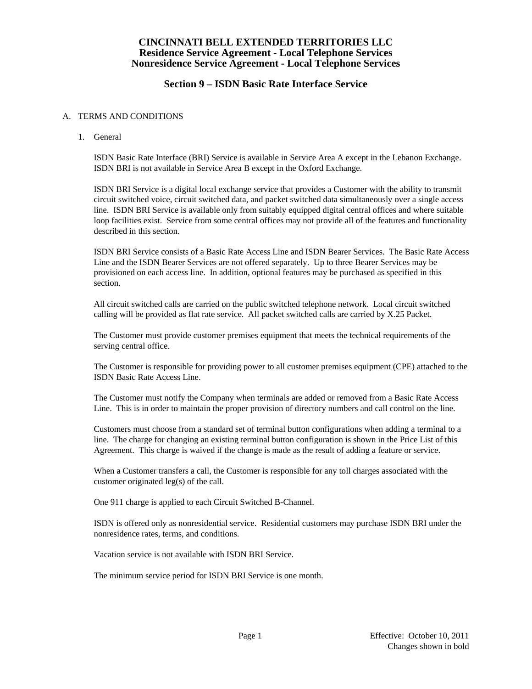### **Section 9 – ISDN Basic Rate Interface Service**

#### A. TERMS AND CONDITIONS

1. General

 ISDN Basic Rate Interface (BRI) Service is available in Service Area A except in the Lebanon Exchange. ISDN BRI is not available in Service Area B except in the Oxford Exchange.

 ISDN BRI Service is a digital local exchange service that provides a Customer with the ability to transmit circuit switched voice, circuit switched data, and packet switched data simultaneously over a single access line. ISDN BRI Service is available only from suitably equipped digital central offices and where suitable loop facilities exist. Service from some central offices may not provide all of the features and functionality described in this section.

 ISDN BRI Service consists of a Basic Rate Access Line and ISDN Bearer Services. The Basic Rate Access Line and the ISDN Bearer Services are not offered separately. Up to three Bearer Services may be provisioned on each access line. In addition, optional features may be purchased as specified in this section.

 All circuit switched calls are carried on the public switched telephone network. Local circuit switched calling will be provided as flat rate service. All packet switched calls are carried by X.25 Packet.

 The Customer must provide customer premises equipment that meets the technical requirements of the serving central office.

 The Customer is responsible for providing power to all customer premises equipment (CPE) attached to the ISDN Basic Rate Access Line.

 The Customer must notify the Company when terminals are added or removed from a Basic Rate Access Line. This is in order to maintain the proper provision of directory numbers and call control on the line.

 Customers must choose from a standard set of terminal button configurations when adding a terminal to a line. The charge for changing an existing terminal button configuration is shown in the Price List of this Agreement. This charge is waived if the change is made as the result of adding a feature or service.

 When a Customer transfers a call, the Customer is responsible for any toll charges associated with the customer originated leg(s) of the call.

One 911 charge is applied to each Circuit Switched B-Channel.

 ISDN is offered only as nonresidential service. Residential customers may purchase ISDN BRI under the nonresidence rates, terms, and conditions.

Vacation service is not available with ISDN BRI Service.

The minimum service period for ISDN BRI Service is one month.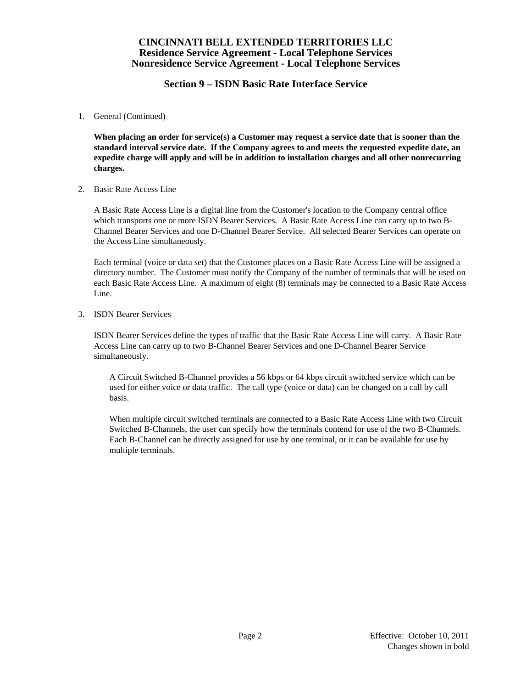### **Section 9 – ISDN Basic Rate Interface Service**

1. General (Continued)

 **When placing an order for service(s) a Customer may request a service date that is sooner than the standard interval service date. If the Company agrees to and meets the requested expedite date, an expedite charge will apply and will be in addition to installation charges and all other nonrecurring charges.** 

2. Basic Rate Access Line

 A Basic Rate Access Line is a digital line from the Customer's location to the Company central office which transports one or more ISDN Bearer Services. A Basic Rate Access Line can carry up to two B-Channel Bearer Services and one D-Channel Bearer Service. All selected Bearer Services can operate on the Access Line simultaneously.

 Each terminal (voice or data set) that the Customer places on a Basic Rate Access Line will be assigned a directory number. The Customer must notify the Company of the number of terminals that will be used on each Basic Rate Access Line. A maximum of eight (8) terminals may be connected to a Basic Rate Access Line.

3. ISDN Bearer Services

 ISDN Bearer Services define the types of traffic that the Basic Rate Access Line will carry. A Basic Rate Access Line can carry up to two B-Channel Bearer Services and one D-Channel Bearer Service simultaneously.

 A Circuit Switched B-Channel provides a 56 kbps or 64 kbps circuit switched service which can be used for either voice or data traffic. The call type (voice or data) can be changed on a call by call basis.

 When multiple circuit switched terminals are connected to a Basic Rate Access Line with two Circuit Switched B-Channels, the user can specify how the terminals contend for use of the two B-Channels. Each B-Channel can be directly assigned for use by one terminal, or it can be available for use by multiple terminals.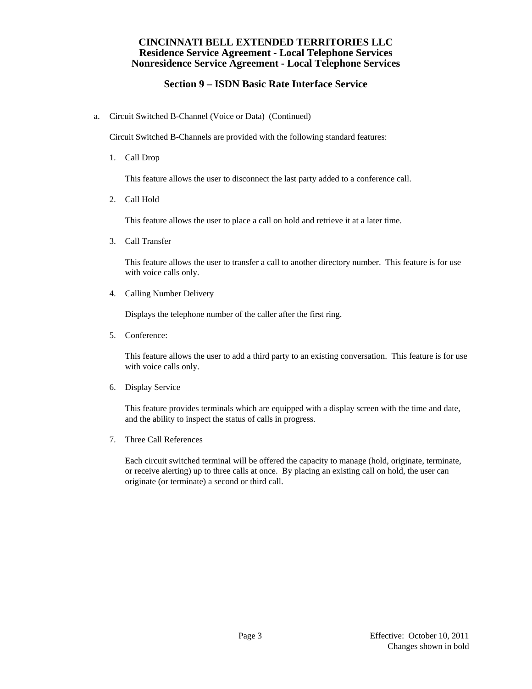# **Section 9 – ISDN Basic Rate Interface Service**

a. Circuit Switched B-Channel (Voice or Data) (Continued)

Circuit Switched B-Channels are provided with the following standard features:

1. Call Drop

This feature allows the user to disconnect the last party added to a conference call.

2. Call Hold

This feature allows the user to place a call on hold and retrieve it at a later time.

3. Call Transfer

 This feature allows the user to transfer a call to another directory number. This feature is for use with voice calls only.

4. Calling Number Delivery

Displays the telephone number of the caller after the first ring.

5. Conference:

 This feature allows the user to add a third party to an existing conversation. This feature is for use with voice calls only.

6. Display Service

 This feature provides terminals which are equipped with a display screen with the time and date, and the ability to inspect the status of calls in progress.

7. Three Call References

 Each circuit switched terminal will be offered the capacity to manage (hold, originate, terminate, or receive alerting) up to three calls at once. By placing an existing call on hold, the user can originate (or terminate) a second or third call.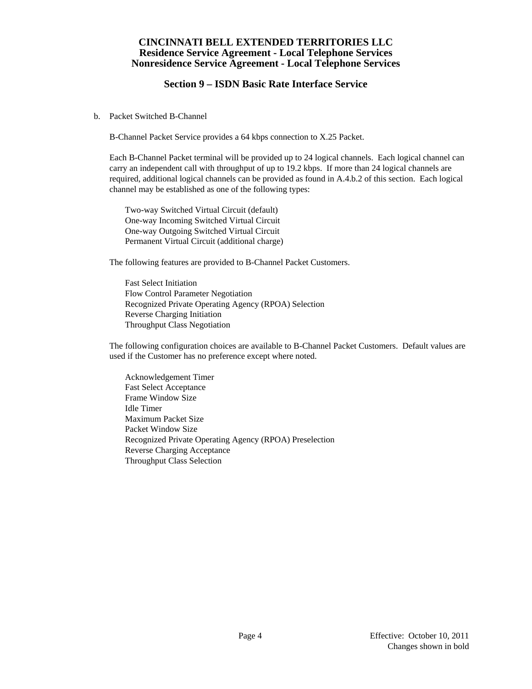## **Section 9 – ISDN Basic Rate Interface Service**

b. Packet Switched B-Channel

B-Channel Packet Service provides a 64 kbps connection to X.25 Packet.

 Each B-Channel Packet terminal will be provided up to 24 logical channels. Each logical channel can carry an independent call with throughput of up to 19.2 kbps. If more than 24 logical channels are required, additional logical channels can be provided as found in A.4.b.2 of this section. Each logical channel may be established as one of the following types:

 Two-way Switched Virtual Circuit (default) One-way Incoming Switched Virtual Circuit One-way Outgoing Switched Virtual Circuit Permanent Virtual Circuit (additional charge)

The following features are provided to B-Channel Packet Customers.

 Fast Select Initiation Flow Control Parameter Negotiation Recognized Private Operating Agency (RPOA) Selection Reverse Charging Initiation Throughput Class Negotiation

 The following configuration choices are available to B-Channel Packet Customers. Default values are used if the Customer has no preference except where noted.

 Acknowledgement Timer Fast Select Acceptance Frame Window Size Idle Timer Maximum Packet Size Packet Window Size Recognized Private Operating Agency (RPOA) Preselection Reverse Charging Acceptance Throughput Class Selection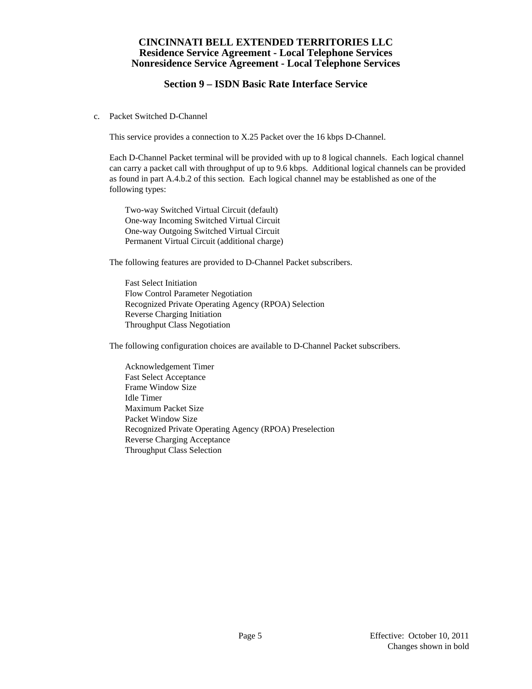## **Section 9 – ISDN Basic Rate Interface Service**

c. Packet Switched D-Channel

This service provides a connection to X.25 Packet over the 16 kbps D-Channel.

 Each D-Channel Packet terminal will be provided with up to 8 logical channels. Each logical channel can carry a packet call with throughput of up to 9.6 kbps. Additional logical channels can be provided as found in part A.4.b.2 of this section. Each logical channel may be established as one of the following types:

 Two-way Switched Virtual Circuit (default) One-way Incoming Switched Virtual Circuit One-way Outgoing Switched Virtual Circuit Permanent Virtual Circuit (additional charge)

The following features are provided to D-Channel Packet subscribers.

 Fast Select Initiation Flow Control Parameter Negotiation Recognized Private Operating Agency (RPOA) Selection Reverse Charging Initiation Throughput Class Negotiation

The following configuration choices are available to D-Channel Packet subscribers.

 Acknowledgement Timer Fast Select Acceptance Frame Window Size Idle Timer Maximum Packet Size Packet Window Size Recognized Private Operating Agency (RPOA) Preselection Reverse Charging Acceptance Throughput Class Selection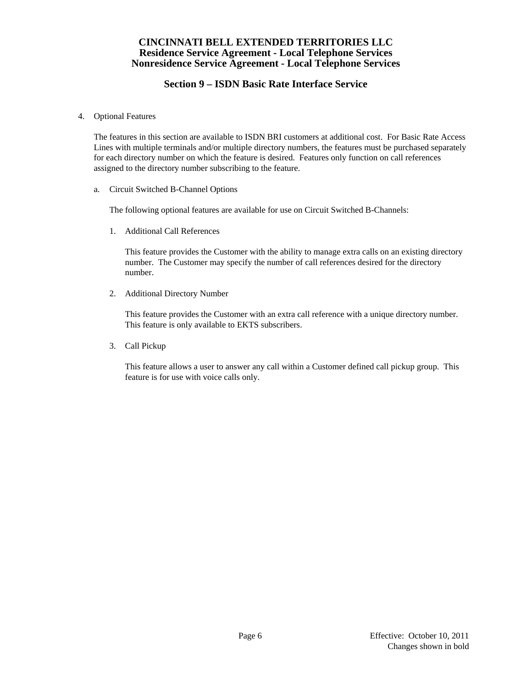# **Section 9 – ISDN Basic Rate Interface Service**

4. Optional Features

 The features in this section are available to ISDN BRI customers at additional cost. For Basic Rate Access Lines with multiple terminals and/or multiple directory numbers, the features must be purchased separately for each directory number on which the feature is desired. Features only function on call references assigned to the directory number subscribing to the feature.

a. Circuit Switched B-Channel Options

The following optional features are available for use on Circuit Switched B-Channels:

1. Additional Call References

 This feature provides the Customer with the ability to manage extra calls on an existing directory number. The Customer may specify the number of call references desired for the directory number.

2. Additional Directory Number

 This feature provides the Customer with an extra call reference with a unique directory number. This feature is only available to EKTS subscribers.

3. Call Pickup

 This feature allows a user to answer any call within a Customer defined call pickup group. This feature is for use with voice calls only.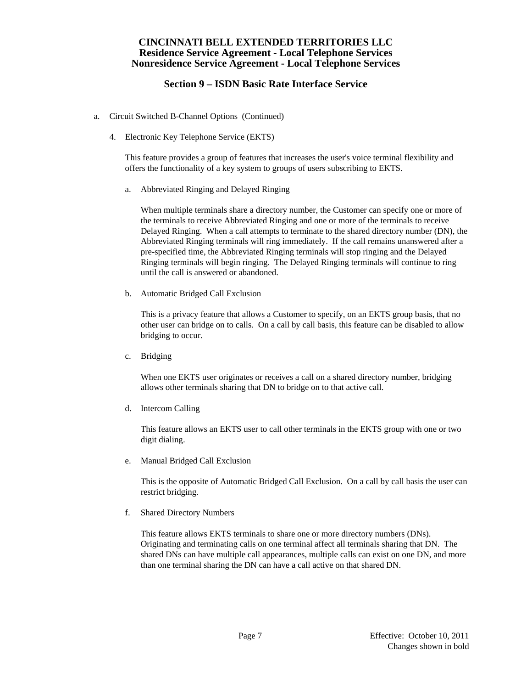## **Section 9 – ISDN Basic Rate Interface Service**

- a. Circuit Switched B-Channel Options (Continued)
	- 4. Electronic Key Telephone Service (EKTS)

 This feature provides a group of features that increases the user's voice terminal flexibility and offers the functionality of a key system to groups of users subscribing to EKTS.

a. Abbreviated Ringing and Delayed Ringing

 When multiple terminals share a directory number, the Customer can specify one or more of the terminals to receive Abbreviated Ringing and one or more of the terminals to receive Delayed Ringing. When a call attempts to terminate to the shared directory number (DN), the Abbreviated Ringing terminals will ring immediately. If the call remains unanswered after a pre-specified time, the Abbreviated Ringing terminals will stop ringing and the Delayed Ringing terminals will begin ringing. The Delayed Ringing terminals will continue to ring until the call is answered or abandoned.

b. Automatic Bridged Call Exclusion

 This is a privacy feature that allows a Customer to specify, on an EKTS group basis, that no other user can bridge on to calls. On a call by call basis, this feature can be disabled to allow bridging to occur.

c. Bridging

 When one EKTS user originates or receives a call on a shared directory number, bridging allows other terminals sharing that DN to bridge on to that active call.

d. Intercom Calling

 This feature allows an EKTS user to call other terminals in the EKTS group with one or two digit dialing.

e. Manual Bridged Call Exclusion

 This is the opposite of Automatic Bridged Call Exclusion. On a call by call basis the user can restrict bridging.

f. Shared Directory Numbers

 This feature allows EKTS terminals to share one or more directory numbers (DNs). Originating and terminating calls on one terminal affect all terminals sharing that DN. The shared DNs can have multiple call appearances, multiple calls can exist on one DN, and more than one terminal sharing the DN can have a call active on that shared DN.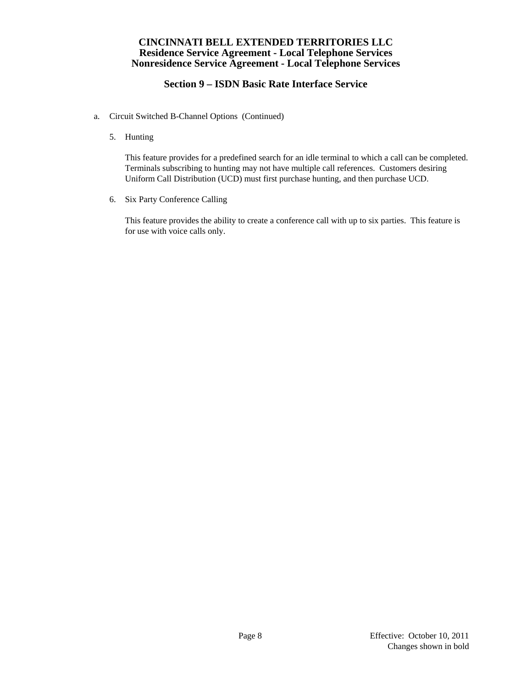## **Section 9 – ISDN Basic Rate Interface Service**

- a. Circuit Switched B-Channel Options (Continued)
	- 5. Hunting

 This feature provides for a predefined search for an idle terminal to which a call can be completed. Terminals subscribing to hunting may not have multiple call references. Customers desiring Uniform Call Distribution (UCD) must first purchase hunting, and then purchase UCD.

6. Six Party Conference Calling

 This feature provides the ability to create a conference call with up to six parties. This feature is for use with voice calls only.